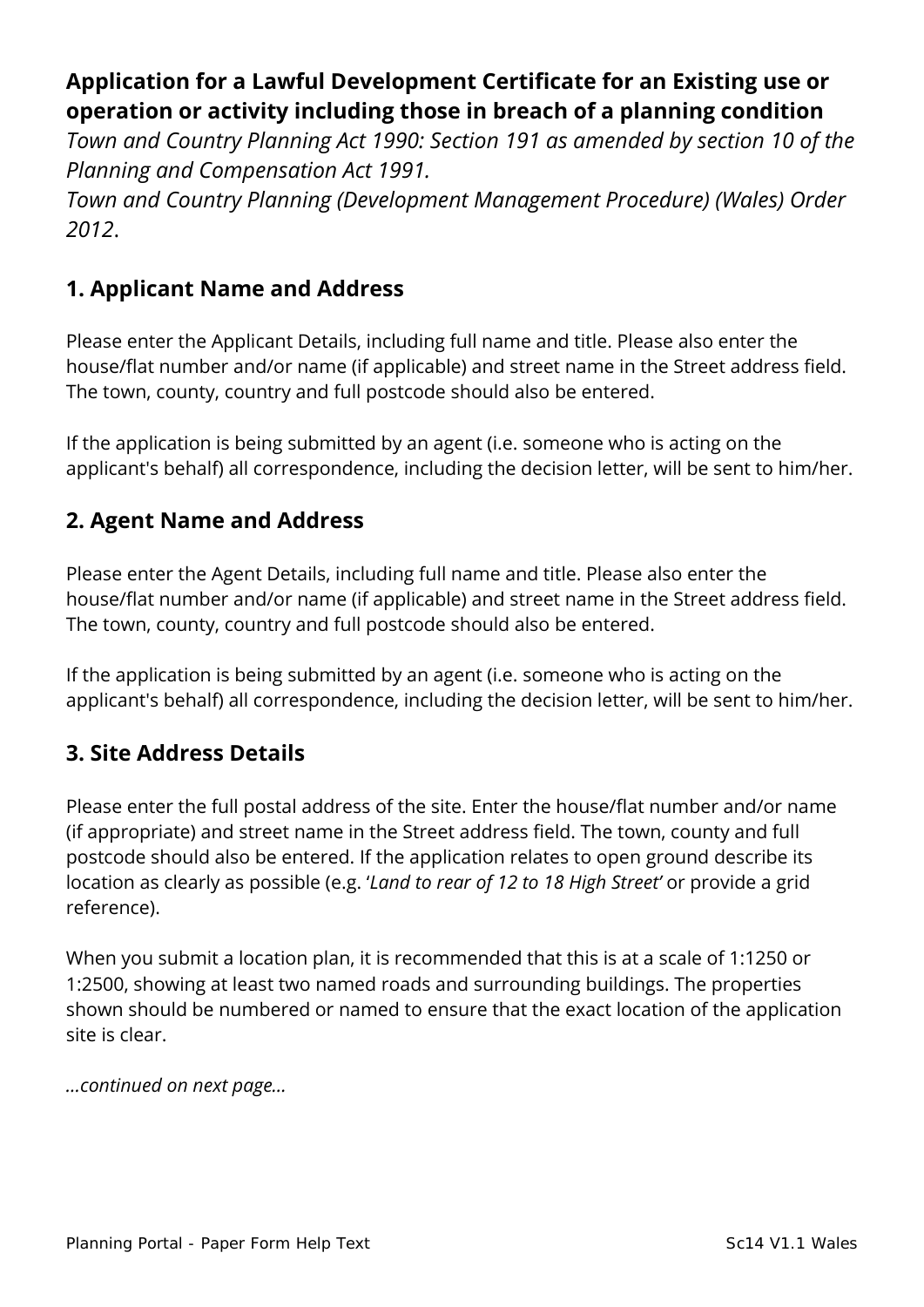# **Application for a Lawful Development Certificate for an Existing use or operation or activity including those in breach of a planning condition**

*Town and Country Planning Act 1990: Section 191 as amended by section 10 of the Planning and Compensation Act 1991.*

*Town and Country Planning (Development Management Procedure) (Wales) Order 2012*.

### **1. Applicant Name and Address**

Please enter the Applicant Details, including full name and title. Please also enter the house/flat number and/or name (if applicable) and street name in the Street address field. The town, county, country and full postcode should also be entered.

If the application is being submitted by an agent (i.e. someone who is acting on the applicant's behalf) all correspondence, including the decision letter, will be sent to him/her.

### **2. Agent Name and Address**

Please enter the Agent Details, including full name and title. Please also enter the house/flat number and/or name (if applicable) and street name in the Street address field. The town, county, country and full postcode should also be entered.

If the application is being submitted by an agent (i.e. someone who is acting on the applicant's behalf) all correspondence, including the decision letter, will be sent to him/her.

### **3. Site Address Details**

Please enter the full postal address of the site. Enter the house/flat number and/or name (if appropriate) and street name in the Street address field. The town, county and full postcode should also be entered. If the application relates to open ground describe its location as clearly as possible (e.g. '*Land to rear of 12 to 18 High Street'* or provide a grid reference).

When you submit a location plan, it is recommended that this is at a scale of 1:1250 or 1:2500, showing at least two named roads and surrounding buildings. The properties shown should be numbered or named to ensure that the exact location of the application site is clear.

*…continued on next page…*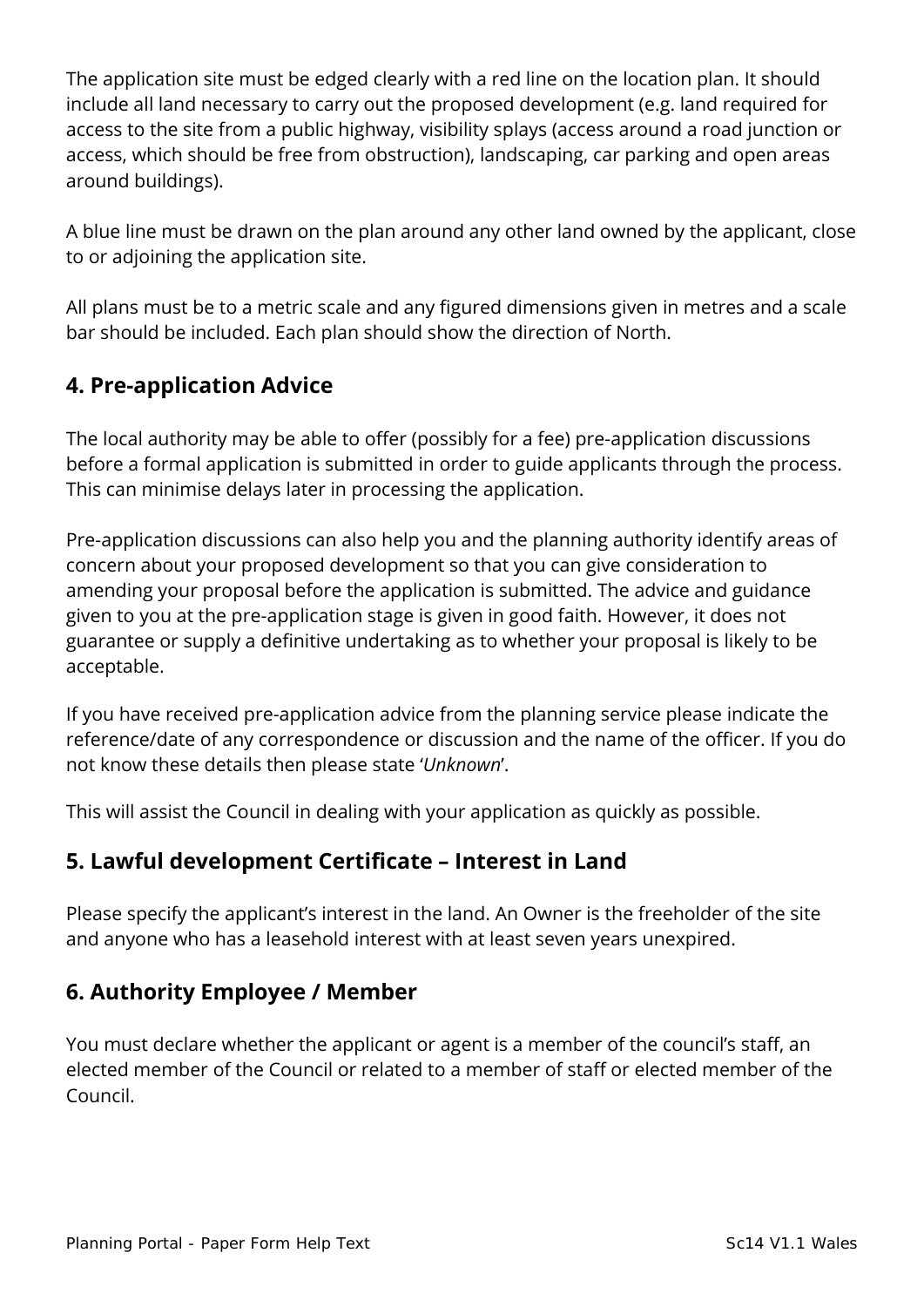The application site must be edged clearly with a red line on the location plan. It should include all land necessary to carry out the proposed development (e.g. land required for access to the site from a public highway, visibility splays (access around a road junction or access, which should be free from obstruction), landscaping, car parking and open areas around buildings).

A blue line must be drawn on the plan around any other land owned by the applicant, close to or adjoining the application site.

All plans must be to a metric scale and any figured dimensions given in metres and a scale bar should be included. Each plan should show the direction of North.

### **4. Pre-application Advice**

The local authority may be able to offer (possibly for a fee) pre-application discussions before a formal application is submitted in order to guide applicants through the process. This can minimise delays later in processing the application.

Pre-application discussions can also help you and the planning authority identify areas of concern about your proposed development so that you can give consideration to amending your proposal before the application is submitted. The advice and guidance given to you at the pre-application stage is given in good faith. However, it does not guarantee or supply a definitive undertaking as to whether your proposal is likely to be acceptable.

If you have received pre-application advice from the planning service please indicate the reference/date of any correspondence or discussion and the name of the officer. If you do not know these details then please state '*Unknown*'.

This will assist the Council in dealing with your application as quickly as possible.

#### **5. Lawful development Certificate – Interest in Land**

Please specify the applicant's interest in the land. An Owner is the freeholder of the site and anyone who has a leasehold interest with at least seven years unexpired.

### **6. Authority Employee / Member**

You must declare whether the applicant or agent is a member of the council's staff, an elected member of the Council or related to a member of staff or elected member of the Council.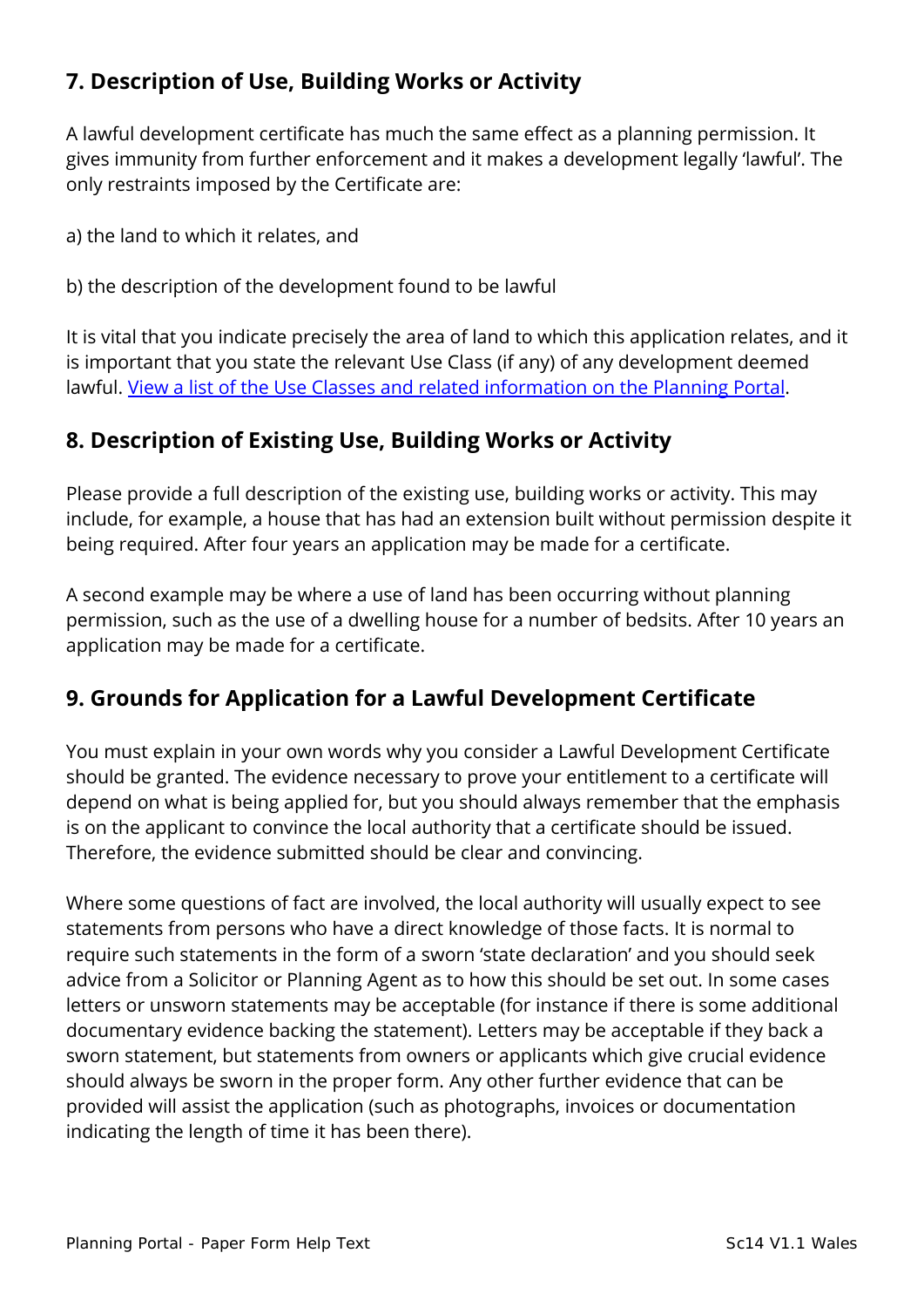# **7. Description of Use, Building Works or Activity**

A lawful development certificate has much the same effect as a planning permission. It gives immunity from further enforcement and it makes a development legally 'lawful'. The only restraints imposed by the Certificate are:

a) the land to which it relates, and

b) the description of the development found to be lawful

It is vital that you indicate precisely the area of land to which this application relates, and it is important that you state the relevant Use Class (if any) of any development deemed lawful. [View a list of the Use Classes and related information on the Planning Portal.](https://www.planningportal.co.uk/wales_en/info/3/common_projects/6/change_of_use)

### **8. Description of Existing Use, Building Works or Activity**

Please provide a full description of the existing use, building works or activity. This may include, for example, a house that has had an extension built without permission despite it being required. After four years an application may be made for a certificate.

A second example may be where a use of land has been occurring without planning permission, such as the use of a dwelling house for a number of bedsits. After 10 years an application may be made for a certificate.

### **9. Grounds for Application for a Lawful Development Certificate**

You must explain in your own words why you consider a Lawful Development Certificate should be granted. The evidence necessary to prove your entitlement to a certificate will depend on what is being applied for, but you should always remember that the emphasis is on the applicant to convince the local authority that a certificate should be issued. Therefore, the evidence submitted should be clear and convincing.

Where some questions of fact are involved, the local authority will usually expect to see statements from persons who have a direct knowledge of those facts. It is normal to require such statements in the form of a sworn 'state declaration' and you should seek advice from a Solicitor or Planning Agent as to how this should be set out. In some cases letters or unsworn statements may be acceptable (for instance if there is some additional documentary evidence backing the statement). Letters may be acceptable if they back a sworn statement, but statements from owners or applicants which give crucial evidence should always be sworn in the proper form. Any other further evidence that can be provided will assist the application (such as photographs, invoices or documentation indicating the length of time it has been there).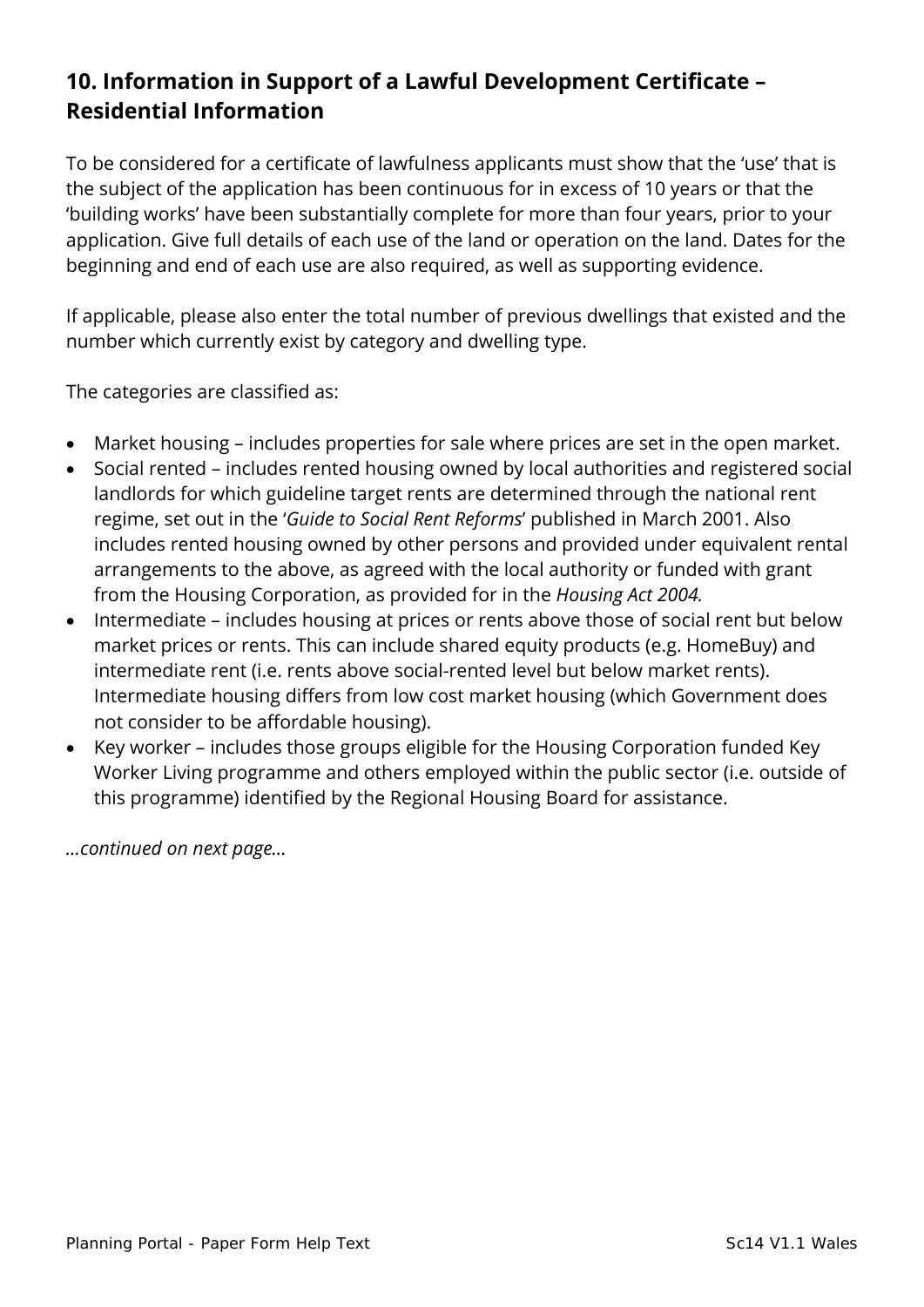# **10. Information in Support of a Lawful Development Certificate – Residential Information**

To be considered for a certificate of lawfulness applicants must show that the 'use' that is the subject of the application has been continuous for in excess of 10 years or that the 'building works' have been substantially complete for more than four years, prior to your application. Give full details of each use of the land or operation on the land. Dates for the beginning and end of each use are also required, as well as supporting evidence.

If applicable, please also enter the total number of previous dwellings that existed and the number which currently exist by category and dwelling type.

The categories are classified as:

- Market housing includes properties for sale where prices are set in the open market.
- Social rented includes rented housing owned by local authorities and registered social landlords for which guideline target rents are determined through the national rent regime, set out in the '*Guide to Social Rent Reforms*' published in March 2001. Also includes rented housing owned by other persons and provided under equivalent rental arrangements to the above, as agreed with the local authority or funded with grant from the Housing Corporation, as provided for in the *Housing Act 2004.*
- Intermediate includes housing at prices or rents above those of social rent but below market prices or rents. This can include shared equity products (e.g. HomeBuy) and intermediate rent (i.e. rents above social-rented level but below market rents). Intermediate housing differs from low cost market housing (which Government does not consider to be affordable housing).
- Key worker includes those groups eligible for the Housing Corporation funded Key Worker Living programme and others employed within the public sector (i.e. outside of this programme) identified by the Regional Housing Board for assistance.

*…continued on next page…*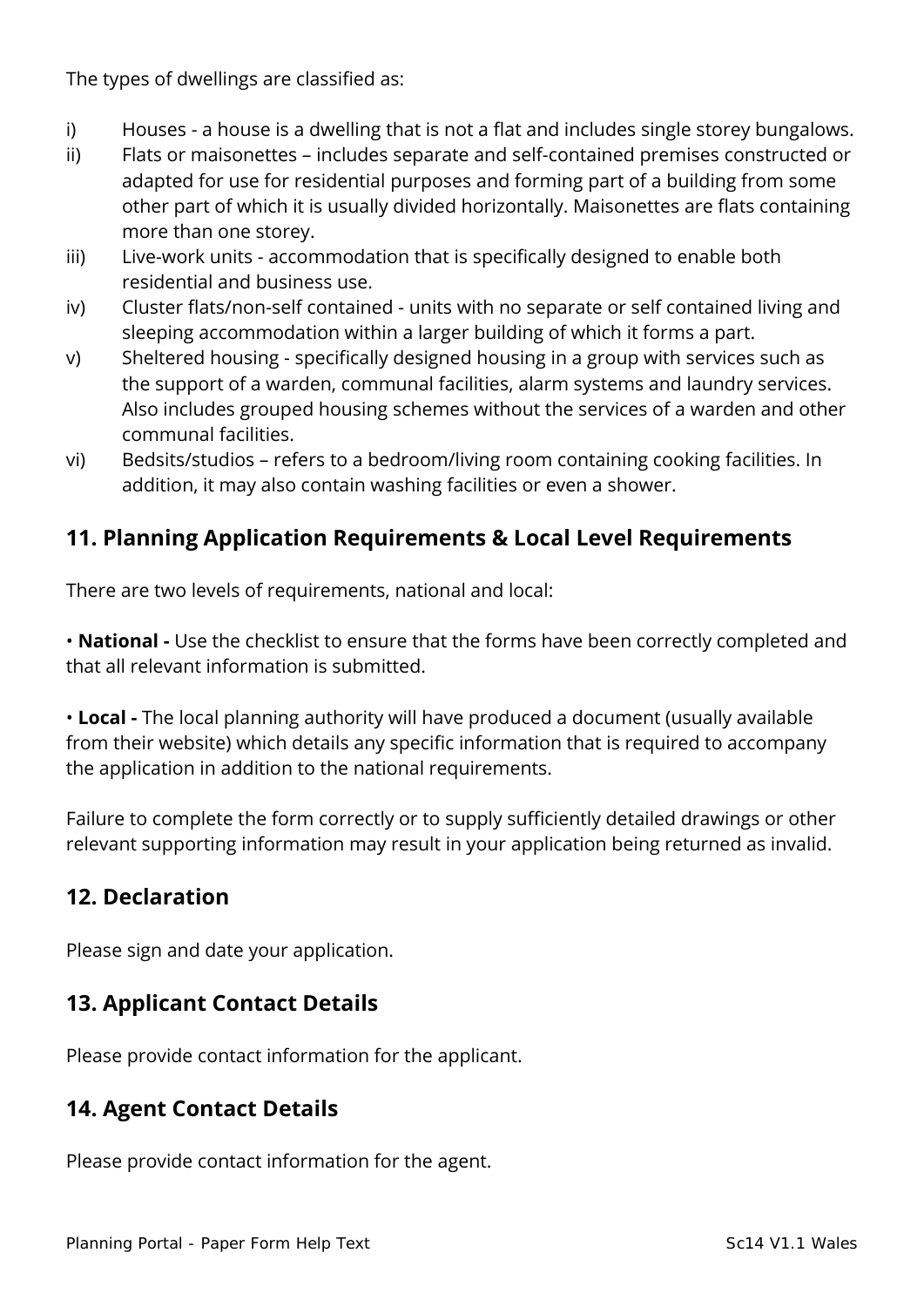The types of dwellings are classified as:

- i) Houses a house is a dwelling that is not a flat and includes single storey bungalows.
- ii) Flats or maisonettes includes separate and self-contained premises constructed or adapted for use for residential purposes and forming part of a building from some other part of which it is usually divided horizontally. Maisonettes are flats containing more than one storey.
- iii) Live-work units accommodation that is specifically designed to enable both residential and business use.
- iv) Cluster flats/non-self contained units with no separate or self contained living and sleeping accommodation within a larger building of which it forms a part.
- v) Sheltered housing specifically designed housing in a group with services such as the support of a warden, communal facilities, alarm systems and laundry services. Also includes grouped housing schemes without the services of a warden and other communal facilities.
- vi) Bedsits/studios refers to a bedroom/living room containing cooking facilities. In addition, it may also contain washing facilities or even a shower.

# **11. Planning Application Requirements & Local Level Requirements**

There are two levels of requirements, national and local:

• **National -** Use the checklist to ensure that the forms have been correctly completed and that all relevant information is submitted.

• **Local -** The local planning authority will have produced a document (usually available from their website) which details any specific information that is required to accompany the application in addition to the national requirements.

Failure to complete the form correctly or to supply sufficiently detailed drawings or other relevant supporting information may result in your application being returned as invalid.

### **12. Declaration**

Please sign and date your application.

### **13. Applicant Contact Details**

Please provide contact information for the applicant.

### **14. Agent Contact Details**

Please provide contact information for the agent.